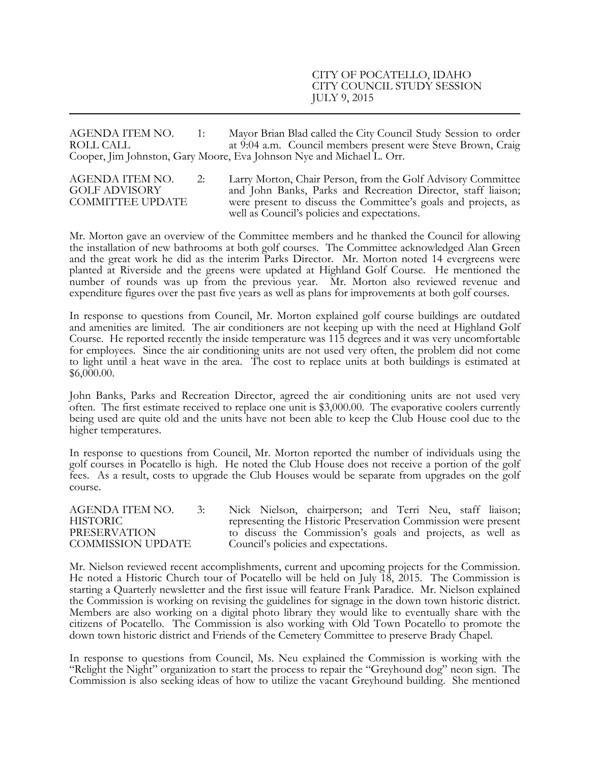AGENDA ITEM NO. 1: Mayor Brian Blad called the City Council Study Session to order ROLL CALL at 9:04 a.m. Council members present were Steve Brown, Craig Cooper, Jim Johnston, Gary Moore, Eva Johnson Nye and Michael L. Orr.

AGENDA ITEM NO. 2: Larry Morton, Chair Person, from the Golf Advisory Committee GOLF ADVISORY and John Banks, Parks and Recreation Director, staff liaison; COMMITTEE UPDATE were present to discuss the Committee's goals and projects, as well as Council's policies and expectations.

Mr. Morton gave an overview of the Committee members and he thanked the Council for allowing the installation of new bathrooms at both golf courses. The Committee acknowledged Alan Green and the great work he did as the interim Parks Director. Mr. Morton noted 14 evergreens were planted at Riverside and the greens were updated at Highland Golf Course. He mentioned the number of rounds was up from the previous year. Mr. Morton also reviewed revenue and expenditure figures over the past five years as well as plans for improvements at both golf courses.

In response to questions from Council, Mr. Morton explained golf course buildings are outdated and amenities are limited. The air conditioners are not keeping up with the need at Highland Golf Course. He reported recently the inside temperature was 115 degrees and it was very uncomfortable for employees. Since the air conditioning units are not used very often, the problem did not come to light until a heat wave in the area. The cost to replace units at both buildings is estimated at \$6,000.00.

John Banks, Parks and Recreation Director, agreed the air conditioning units are not used very often. The first estimate received to replace one unit is \$3,000.00. The evaporative coolers currently being used are quite old and the units have not been able to keep the Club House cool due to the higher temperatures.

In response to questions from Council, Mr. Morton reported the number of individuals using the golf courses in Pocatello is high. He noted the Club House does not receive a portion of the golf fees. As a result, costs to upgrade the Club Houses would be separate from upgrades on the golf course.

AGENDA ITEM NO. 3: Nick Nielson, chairperson; and Terri Neu, staff liaison; HISTORIC representing the Historic Preservation Commission were present PRESERVATION to discuss the Commission's goals and projects, as well as COMMISSION UPDATE Council's policies and expectations.

Mr. Nielson reviewed recent accomplishments, current and upcoming projects for the Commission. He noted a Historic Church tour of Pocatello will be held on July 18, 2015. The Commission is starting a Quarterly newsletter and the first issue will feature Frank Paradice. Mr. Nielson explained the Commission is working on revising the guidelines for signage in the down town historic district. Members are also working on a digital photo library they would like to eventually share with the citizens of Pocatello. The Commission is also working with Old Town Pocatello to promote the down town historic district and Friends of the Cemetery Committee to preserve Brady Chapel.

In response to questions from Council, Ms. Neu explained the Commission is working with the "Relight the Night" organization to start the process to repair the "Greyhound dog" neon sign. The Commission is also seeking ideas of how to utilize the vacant Greyhound building. She mentioned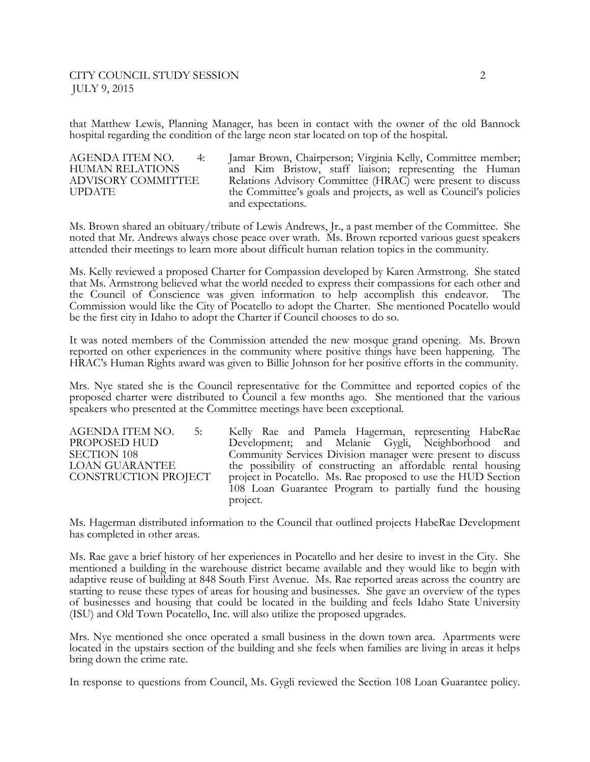that Matthew Lewis, Planning Manager, has been in contact with the owner of the old Bannock hospital regarding the condition of the large neon star located on top of the hospital.

AGENDA ITEM NO. 4: Jamar Brown, Chairperson; Virginia Kelly, Committee member;<br>HUMAN RELATIONS and Kim Bristow, staff liaison; representing the Human HUMAN RELATIONS and Kim Bristow, staff liaison; representing the Human ADVISORY COMMITTEE Relations Advisory Committee (HRAC) were present to discuss Relations Advisory Committee (HRAC) were present to discuss UPDATE the Committee's goals and projects, as well as Council's policies and expectations.

Ms. Brown shared an obituary/tribute of Lewis Andrews, Jr., a past member of the Committee. She noted that Mr. Andrews always chose peace over wrath. Ms. Brown reported various guest speakers attended their meetings to learn more about difficult human relation topics in the community.

Ms. Kelly reviewed a proposed Charter for Compassion developed by Karen Armstrong. She stated that Ms. Armstrong believed what the world needed to express their compassions for each other and the Council of Conscience was given information to help accomplish this endeavor. The Commission would like the City of Pocatello to adopt the Charter. She mentioned Pocatello would be the first city in Idaho to adopt the Charter if Council chooses to do so.

It was noted members of the Commission attended the new mosque grand opening. Ms. Brown reported on other experiences in the community where positive things have been happening. The HRAC's Human Rights award was given to Billie Johnson for her positive efforts in the community.

Mrs. Nye stated she is the Council representative for the Committee and reported copies of the proposed charter were distributed to Council a few months ago. She mentioned that the various speakers who presented at the Committee meetings have been exceptional.

AGENDA ITEM NO. 5: Kelly Rae and Pamela Hagerman, representing HabeRae PROPOSED HUD Development; and Melanie Gygli, Neighborhood and SECTION 108 Community Services Division manager were present to discuss<br>LOAN GUARANTEE the possibility of constructing an affordable rental housing the possibility of constructing an affordable rental housing CONSTRUCTION PROJECT project in Pocatello. Ms. Rae proposed to use the HUD Section 108 Loan Guarantee Program to partially fund the housing project.

Ms. Hagerman distributed information to the Council that outlined projects HabeRae Development has completed in other areas.

Ms. Rae gave a brief history of her experiences in Pocatello and her desire to invest in the City. She mentioned a building in the warehouse district became available and they would like to begin with adaptive reuse of building at 848 South First Avenue. Ms. Rae reported areas across the country are starting to reuse these types of areas for housing and businesses. She gave an overview of the types of businesses and housing that could be located in the building and feels Idaho State University (ISU) and Old Town Pocatello, Inc. will also utilize the proposed upgrades.

Mrs. Nye mentioned she once operated a small business in the down town area. Apartments were located in the upstairs section of the building and she feels when families are living in areas it helps bring down the crime rate.

In response to questions from Council, Ms. Gygli reviewed the Section 108 Loan Guarantee policy.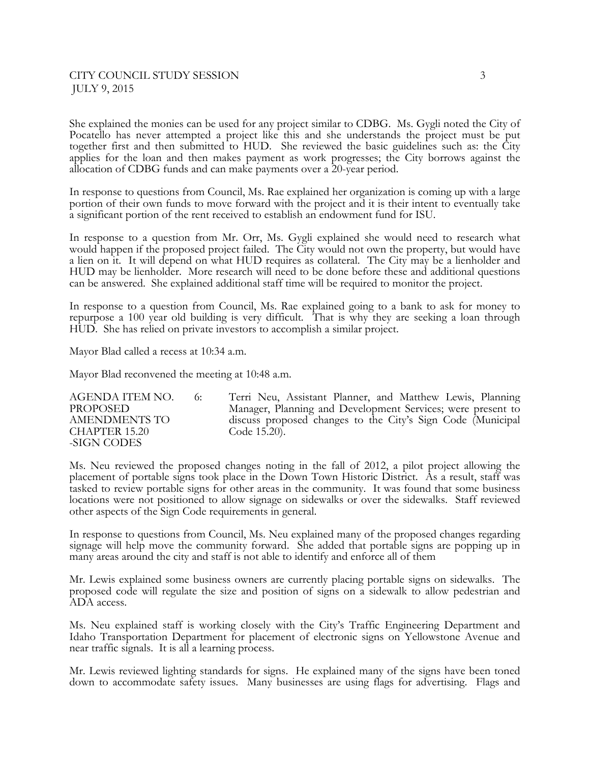She explained the monies can be used for any project similar to CDBG. Ms. Gygli noted the City of Pocatello has never attempted a project like this and she understands the project must be put together first and then submitted to HUD. She reviewed the basic guidelines such as: the City applies for the loan and then makes payment as work progresses; the City borrows against the allocation of CDBG funds and can make payments over a 20-year period.

In response to questions from Council, Ms. Rae explained her organization is coming up with a large portion of their own funds to move forward with the project and it is their intent to eventually take a significant portion of the rent received to establish an endowment fund for ISU.

In response to a question from Mr. Orr, Ms. Gygli explained she would need to research what would happen if the proposed project failed. The City would not own the property, but would have a lien on it. It will depend on what HUD requires as collateral. The City may be a lienholder and HUD may be lienholder. More research will need to be done before these and additional questions can be answered. She explained additional staff time will be required to monitor the project.

In response to a question from Council, Ms. Rae explained going to a bank to ask for money to repurpose a 100 year old building is very difficult. That is why they are seeking a loan through HUD. She has relied on private investors to accomplish a similar project.

Mayor Blad called a recess at 10:34 a.m.

Mayor Blad reconvened the meeting at 10:48 a.m.

| AGENDA ITEM NO. | 6: | Terri Neu, Assistant Planner, and Matthew Lewis, Planning   |
|-----------------|----|-------------------------------------------------------------|
| PROPOSED        |    | Manager, Planning and Development Services; were present to |
| AMENDMENTS TO   |    | discuss proposed changes to the City's Sign Code (Municipal |
| CHAPTER 15.20   |    | Code 15.20).                                                |
| -SIGN CODES     |    |                                                             |

Ms. Neu reviewed the proposed changes noting in the fall of 2012, a pilot project allowing the placement of portable signs took place in the Down Town Historic District. As a result, staff was tasked to review portable signs for other areas in the community. It was found that some business locations were not positioned to allow signage on sidewalks or over the sidewalks. Staff reviewed other aspects of the Sign Code requirements in general.

In response to questions from Council, Ms. Neu explained many of the proposed changes regarding signage will help move the community forward. She added that portable signs are popping up in many areas around the city and staff is not able to identify and enforce all of them

Mr. Lewis explained some business owners are currently placing portable signs on sidewalks. The proposed code will regulate the size and position of signs on a sidewalk to allow pedestrian and ADA access.

Ms. Neu explained staff is working closely with the City's Traffic Engineering Department and Idaho Transportation Department for placement of electronic signs on Yellowstone Avenue and near traffic signals. It is all a learning process.

Mr. Lewis reviewed lighting standards for signs. He explained many of the signs have been toned down to accommodate safety issues. Many businesses are using flags for advertising. Flags and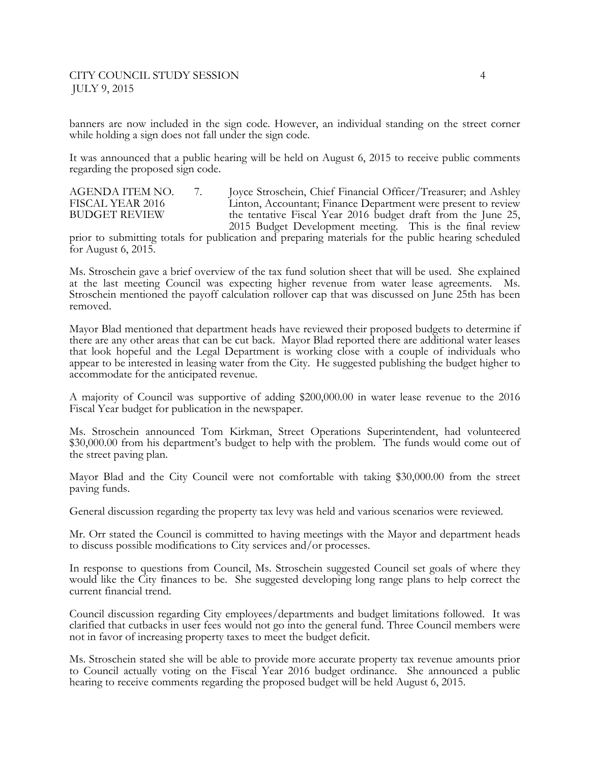## CITY COUNCIL STUDY SESSION 4 JULY 9, 2015

banners are now included in the sign code. However, an individual standing on the street corner while holding a sign does not fall under the sign code.

It was announced that a public hearing will be held on August 6, 2015 to receive public comments regarding the proposed sign code.

AGENDA ITEM NO. 7. Joyce Stroschein, Chief Financial Officer/Treasurer; and Ashley FISCAL YEAR 2016 Linton, Accountant; Finance Department were present to review<br>BUDGET REVIEW the tentative Fiscal Year 2016 budget draft from the June 25, the tentative Fiscal Year 2016 budget draft from the June 25, 2015 Budget Development meeting. This is the final review

prior to submitting totals for publication and preparing materials for the public hearing scheduled for August 6, 2015.

Ms. Stroschein gave a brief overview of the tax fund solution sheet that will be used. She explained at the last meeting Council was expecting higher revenue from water lease agreements. Ms. Stroschein mentioned the payoff calculation rollover cap that was discussed on June 25th has been removed.

Mayor Blad mentioned that department heads have reviewed their proposed budgets to determine if there are any other areas that can be cut back. Mayor Blad reported there are additional water leases that look hopeful and the Legal Department is working close with a couple of individuals who appear to be interested in leasing water from the City. He suggested publishing the budget higher to accommodate for the anticipated revenue.

A majority of Council was supportive of adding \$200,000.00 in water lease revenue to the 2016 Fiscal Year budget for publication in the newspaper.

Ms. Stroschein announced Tom Kirkman, Street Operations Superintendent, had volunteered \$30,000.00 from his department's budget to help with the problem. The funds would come out of the street paving plan.

Mayor Blad and the City Council were not comfortable with taking \$30,000.00 from the street paving funds.

General discussion regarding the property tax levy was held and various scenarios were reviewed.

Mr. Orr stated the Council is committed to having meetings with the Mayor and department heads to discuss possible modifications to City services and/or processes.

In response to questions from Council, Ms. Stroschein suggested Council set goals of where they would like the City finances to be. She suggested developing long range plans to help correct the current financial trend.

Council discussion regarding City employees/departments and budget limitations followed. It was clarified that cutbacks in user fees would not go into the general fund. Three Council members were not in favor of increasing property taxes to meet the budget deficit.

Ms. Stroschein stated she will be able to provide more accurate property tax revenue amounts prior to Council actually voting on the Fiscal Year 2016 budget ordinance. She announced a public hearing to receive comments regarding the proposed budget will be held August 6, 2015.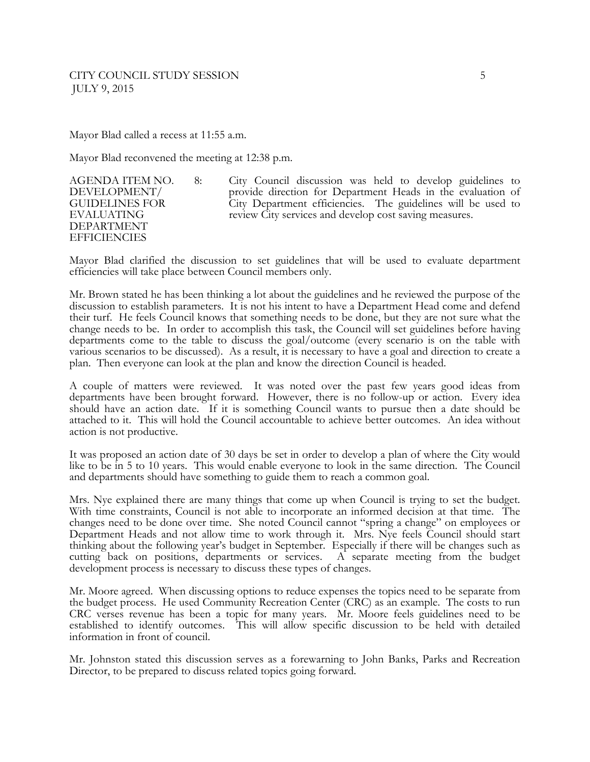Mayor Blad called a recess at 11:55 a.m.

Mayor Blad reconvened the meeting at 12:38 p.m.

DEPARTMENT **EFFICIENCIES** 

AGENDA ITEM NO. 8: City Council discussion was held to develop guidelines to DEVELOPMENT/ provide direction for Department Heads in the evaluation of GUIDELINES FOR City Department efficiencies. The guidelines will be used to EVALUATING review City services and develop cost saving measures.

Mayor Blad clarified the discussion to set guidelines that will be used to evaluate department efficiencies will take place between Council members only.

Mr. Brown stated he has been thinking a lot about the guidelines and he reviewed the purpose of the discussion to establish parameters. It is not his intent to have a Department Head come and defend their turf. He feels Council knows that something needs to be done, but they are not sure what the change needs to be. In order to accomplish this task, the Council will set guidelines before having departments come to the table to discuss the goal/outcome (every scenario is on the table with various scenarios to be discussed). As a result, it is necessary to have a goal and direction to create a plan. Then everyone can look at the plan and know the direction Council is headed.

A couple of matters were reviewed. It was noted over the past few years good ideas from departments have been brought forward. However, there is no follow-up or action. Every idea should have an action date. If it is something Council wants to pursue then a date should be attached to it. This will hold the Council accountable to achieve better outcomes. An idea without action is not productive.

It was proposed an action date of 30 days be set in order to develop a plan of where the City would like to be in 5 to 10 years. This would enable everyone to look in the same direction. The Council and departments should have something to guide them to reach a common goal.

Mrs. Nye explained there are many things that come up when Council is trying to set the budget. With time constraints, Council is not able to incorporate an informed decision at that time. The changes need to be done over time. She noted Council cannot "spring a change" on employees or Department Heads and not allow time to work through it. Mrs. Nye feels Council should start thinking about the following year's budget in September. Especially if there will be changes such as cutting back on positions, departments or services. A separate meeting from the budget development process is necessary to discuss these types of changes.

Mr. Moore agreed. When discussing options to reduce expenses the topics need to be separate from the budget process. He used Community Recreation Center (CRC) as an example. The costs to run CRC verses revenue has been a topic for many years. Mr. Moore feels guidelines need to be established to identify outcomes. This will allow specific discussion to be held with detailed information in front of council.

Mr. Johnston stated this discussion serves as a forewarning to John Banks, Parks and Recreation Director, to be prepared to discuss related topics going forward.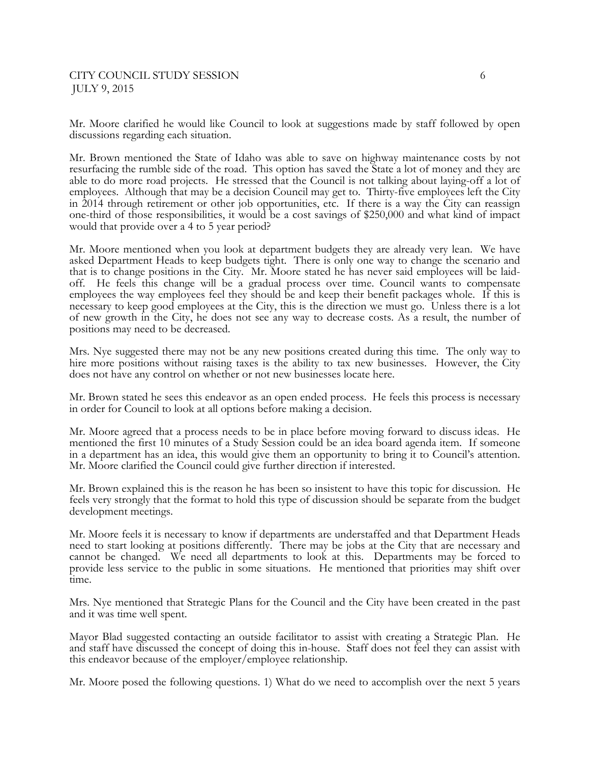Mr. Moore clarified he would like Council to look at suggestions made by staff followed by open discussions regarding each situation.

Mr. Brown mentioned the State of Idaho was able to save on highway maintenance costs by not resurfacing the rumble side of the road. This option has saved the State a lot of money and they are able to do more road projects. He stressed that the Council is not talking about laying-off a lot of employees. Although that may be a decision Council may get to. Thirty-five employees left the City in 2014 through retirement or other job opportunities, etc. If there is a way the City can reassign one-third of those responsibilities, it would be a cost savings of \$250,000 and what kind of impact would that provide over a 4 to 5 year period?

Mr. Moore mentioned when you look at department budgets they are already very lean. We have asked Department Heads to keep budgets tight. There is only one way to change the scenario and that is to change positions in the City. Mr. Moore stated he has never said employees will be laidoff. He feels this change will be a gradual process over time. Council wants to compensate employees the way employees feel they should be and keep their benefit packages whole. If this is necessary to keep good employees at the City, this is the direction we must go. Unless there is a lot of new growth in the City, he does not see any way to decrease costs. As a result, the number of positions may need to be decreased.

Mrs. Nye suggested there may not be any new positions created during this time. The only way to hire more positions without raising taxes is the ability to tax new businesses. However, the City does not have any control on whether or not new businesses locate here.

Mr. Brown stated he sees this endeavor as an open ended process. He feels this process is necessary in order for Council to look at all options before making a decision.

Mr. Moore agreed that a process needs to be in place before moving forward to discuss ideas. He mentioned the first 10 minutes of a Study Session could be an idea board agenda item. If someone in a department has an idea, this would give them an opportunity to bring it to Council's attention. Mr. Moore clarified the Council could give further direction if interested.

Mr. Brown explained this is the reason he has been so insistent to have this topic for discussion. He feels very strongly that the format to hold this type of discussion should be separate from the budget development meetings.

Mr. Moore feels it is necessary to know if departments are understaffed and that Department Heads need to start looking at positions differently. There may be jobs at the City that are necessary and cannot be changed. We need all departments to look at this. Departments may be forced to provide less service to the public in some situations. He mentioned that priorities may shift over time.

Mrs. Nye mentioned that Strategic Plans for the Council and the City have been created in the past and it was time well spent.

Mayor Blad suggested contacting an outside facilitator to assist with creating a Strategic Plan. He and staff have discussed the concept of doing this in-house. Staff does not feel they can assist with this endeavor because of the employer/employee relationship.

Mr. Moore posed the following questions. 1) What do we need to accomplish over the next 5 years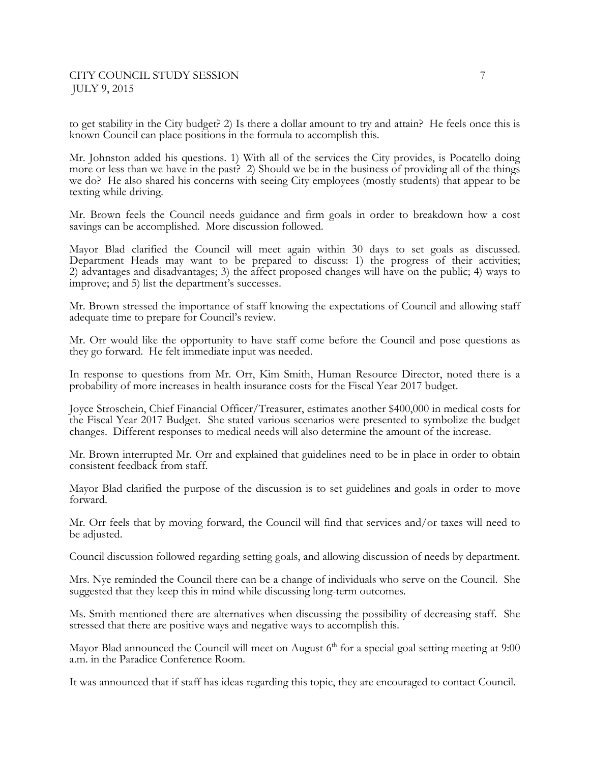to get stability in the City budget? 2) Is there a dollar amount to try and attain? He feels once this is known Council can place positions in the formula to accomplish this.

Mr. Johnston added his questions. 1) With all of the services the City provides, is Pocatello doing more or less than we have in the past? 2) Should we be in the business of providing all of the things we do? He also shared his concerns with seeing City employees (mostly students) that appear to be texting while driving.

Mr. Brown feels the Council needs guidance and firm goals in order to breakdown how a cost savings can be accomplished. More discussion followed.

Mayor Blad clarified the Council will meet again within 30 days to set goals as discussed. Department Heads may want to be prepared to discuss: 1) the progress of their activities; 2) advantages and disadvantages; 3) the affect proposed changes will have on the public; 4) ways to improve; and 5) list the department's successes.

Mr. Brown stressed the importance of staff knowing the expectations of Council and allowing staff adequate time to prepare for Council's review.

Mr. Orr would like the opportunity to have staff come before the Council and pose questions as they go forward. He felt immediate input was needed.

In response to questions from Mr. Orr, Kim Smith, Human Resource Director, noted there is a probability of more increases in health insurance costs for the Fiscal Year 2017 budget.

Joyce Stroschein, Chief Financial Officer/Treasurer, estimates another \$400,000 in medical costs for the Fiscal Year 2017 Budget. She stated various scenarios were presented to symbolize the budget changes. Different responses to medical needs will also determine the amount of the increase.

Mr. Brown interrupted Mr. Orr and explained that guidelines need to be in place in order to obtain consistent feedback from staff.

Mayor Blad clarified the purpose of the discussion is to set guidelines and goals in order to move forward.

Mr. Orr feels that by moving forward, the Council will find that services and/or taxes will need to be adjusted.

Council discussion followed regarding setting goals, and allowing discussion of needs by department.

Mrs. Nye reminded the Council there can be a change of individuals who serve on the Council. She suggested that they keep this in mind while discussing long-term outcomes.

Ms. Smith mentioned there are alternatives when discussing the possibility of decreasing staff. She stressed that there are positive ways and negative ways to accomplish this.

Mayor Blad announced the Council will meet on August  $6<sup>th</sup>$  for a special goal setting meeting at  $9:00$ a.m. in the Paradice Conference Room.

It was announced that if staff has ideas regarding this topic, they are encouraged to contact Council.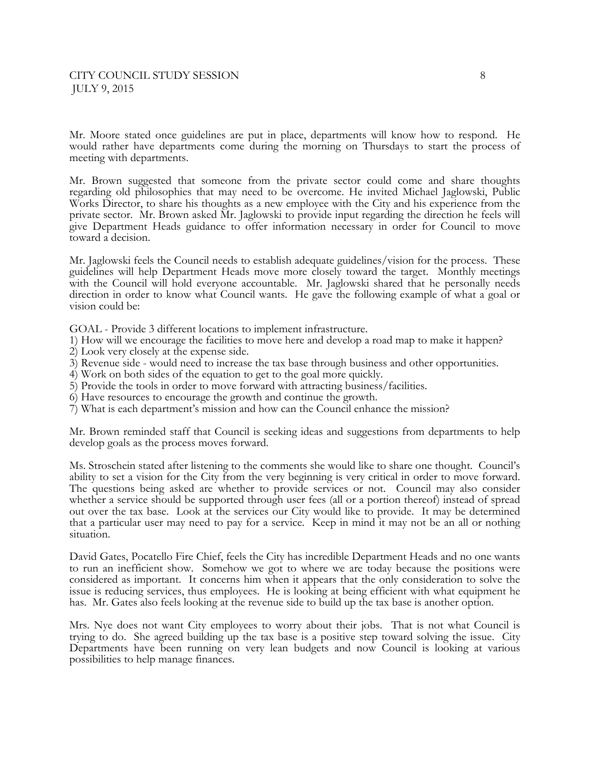Mr. Moore stated once guidelines are put in place, departments will know how to respond. He would rather have departments come during the morning on Thursdays to start the process of meeting with departments.

Mr. Brown suggested that someone from the private sector could come and share thoughts regarding old philosophies that may need to be overcome. He invited Michael Jaglowski, Public Works Director, to share his thoughts as a new employee with the City and his experience from the private sector. Mr. Brown asked Mr. Jaglowski to provide input regarding the direction he feels will give Department Heads guidance to offer information necessary in order for Council to move toward a decision.

Mr. Jaglowski feels the Council needs to establish adequate guidelines/vision for the process. These guidelines will help Department Heads move more closely toward the target. Monthly meetings with the Council will hold everyone accountable. Mr. Jaglowski shared that he personally needs direction in order to know what Council wants. He gave the following example of what a goal or vision could be:

GOAL - Provide 3 different locations to implement infrastructure.

- 1) How will we encourage the facilities to move here and develop a road map to make it happen?
- 2) Look very closely at the expense side.
- 3) Revenue side would need to increase the tax base through business and other opportunities.
- 4) Work on both sides of the equation to get to the goal more quickly.
- 5) Provide the tools in order to move forward with attracting business/facilities.
- 6) Have resources to encourage the growth and continue the growth.
- 7) What is each department's mission and how can the Council enhance the mission?

Mr. Brown reminded staff that Council is seeking ideas and suggestions from departments to help develop goals as the process moves forward.

Ms. Stroschein stated after listening to the comments she would like to share one thought. Council's ability to set a vision for the City from the very beginning is very critical in order to move forward. The questions being asked are whether to provide services or not. Council may also consider whether a service should be supported through user fees (all or a portion thereof) instead of spread out over the tax base. Look at the services our City would like to provide. It may be determined that a particular user may need to pay for a service. Keep in mind it may not be an all or nothing situation.

David Gates, Pocatello Fire Chief, feels the City has incredible Department Heads and no one wants to run an inefficient show. Somehow we got to where we are today because the positions were considered as important. It concerns him when it appears that the only consideration to solve the issue is reducing services, thus employees. He is looking at being efficient with what equipment he has. Mr. Gates also feels looking at the revenue side to build up the tax base is another option.

Mrs. Nye does not want City employees to worry about their jobs. That is not what Council is trying to do. She agreed building up the tax base is a positive step toward solving the issue. City Departments have been running on very lean budgets and now Council is looking at various possibilities to help manage finances.